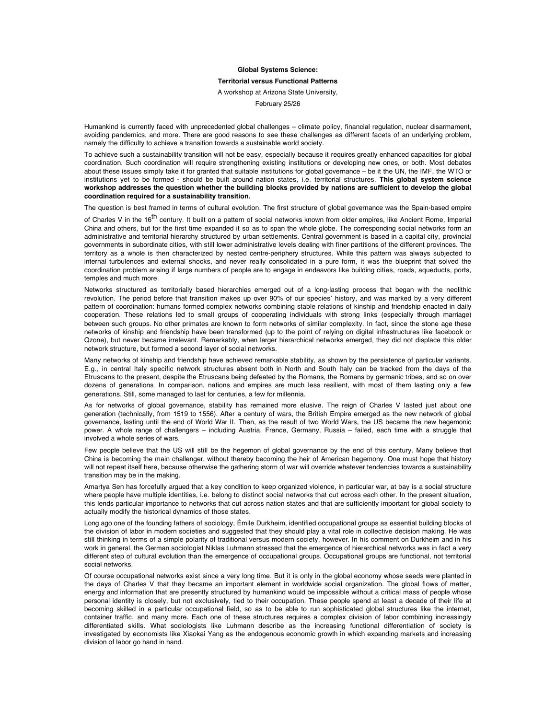## **Global Systems Science:**

## **Territorial versus Functional Patterns**

A workshop at Arizona State University,

February 25/26

Humankind is currently faced with unprecedented global challenges – climate policy, financial regulation, nuclear disarmament, avoiding pandemics, and more. There are good reasons to see these challenges as different facets of an underlying problem, namely the difficulty to achieve a transition towards a sustainable world society.

To achieve such a sustainability transition will not be easy, especially because it requires greatly enhanced capacities for global coordination. Such coordination will require strengthening existing institutions or developing new ones, or both. Most debates about these issues simply take it for granted that suitable institutions for global governance – be it the UN, the IMF, the WTO or institutions yet to be formed - should be built around nation states, i.e. territorial structures. **This global system science workshop addresses the question whether the building blocks provided by nations are sufficient to develop the global coordination required for a sustainability transition.**

The question is best framed in terms of cultural evolution. The first structure of global governance was the Spain-based empire

of Charles V in the 16<sup>th</sup> century. It built on a pattern of social networks known from older empires, like Ancient Rome, Imperial China and others, but for the first time expanded it so as to span the whole globe. The corresponding social networks form an administrative and territorial hierarchy structured by urban settlements. Central government is based in a capital city, provincial governments in subordinate cities, with still lower administrative levels dealing with finer partitions of the different provinces. The territory as a whole is then characterized by nested centre-periphery structures. While this pattern was always subjected to internal turbulences and external shocks, and never really consolidated in a pure form, it was the blueprint that solved the coordination problem arising if large numbers of people are to engage in endeavors like building cities, roads, aqueducts, ports, temples and much more.

Networks structured as territorially based hierarchies emerged out of a long-lasting process that began with the neolithic revolution. The period before that transition makes up over 90% of our species' history, and was marked by a very different pattern of coordination: humans formed complex networks combining stable relations of kinship and friendship enacted in daily cooperation. These relations led to small groups of cooperating individuals with strong links (especially through marriage) between such groups. No other primates are known to form networks of similar complexity. In fact, since the stone age these networks of kinship and friendship have been transformed (up to the point of relying on digital infrastructures like facebook or Qzone), but never became irrelevant. Remarkably, when larger hierarchical networks emerged, they did not displace this older network structure, but formed a second layer of social networks.

Many networks of kinship and friendship have achieved remarkable stability, as shown by the persistence of particular variants. E.g., in central Italy specific network structures absent both in North and South Italy can be tracked from the days of the Etruscans to the present, despite the Etruscans being defeated by the Romans, the Romans by germanic tribes, and so on over dozens of generations. In comparison, nations and empires are much less resilient, with most of them lasting only a few generations. Still, some managed to last for centuries, a few for millennia.

As for networks of global governance, stability has remained more elusive. The reign of Charles V lasted just about one generation (technically, from 1519 to 1556). After a century of wars, the British Empire emerged as the new network of global governance, lasting until the end of World War II. Then, as the result of two World Wars, the US became the new hegemonic power. A whole range of challengers – including Austria, France, Germany, Russia – failed, each time with a struggle that involved a whole series of wars.

Few people believe that the US will still be the hegemon of global governance by the end of this century. Many believe that China is becoming the main challenger, without thereby becoming the heir of American hegemony. One must hope that history will not repeat itself here, because otherwise the gathering storm of war will override whatever tendencies towards a sustainability transition may be in the making.

Amartya Sen has forcefully argued that a key condition to keep organized violence, in particular war, at bay is a social structure where people have multiple identities, i.e. belong to distinct social networks that cut across each other. In the present situation, this lends particular importance to networks that cut across nation states and that are sufficiently important for global society to actually modify the historical dynamics of those states.

Long ago one of the founding fathers of sociology, Émile Durkheim, identified occupational groups as essential building blocks of the division of labor in modern societies and suggested that they should play a vital role in collective decision making. He was still thinking in terms of a simple polarity of traditional versus modern society, however. In his comment on Durkheim and in his work in general, the German sociologist Niklas Luhmann stressed that the emergence of hierarchical networks was in fact a very different step of cultural evolution than the emergence of occupational groups. Occupational groups are functional, not territorial social networks.

Of course occupational networks exist since a very long time. But it is only in the global economy whose seeds were planted in the days of Charles V that they became an important element in worldwide social organization. The global flows of matter, energy and information that are presently structured by humankind would be impossible without a critical mass of people whose personal identity is closely, but not exclusively, tied to their occupation. These people spend at least a decade of their life at becoming skilled in a particular occupational field, so as to be able to run sophisticated global structures like the internet, container traffic, and many more. Each one of these structures requires a complex division of labor combining increasingly differentiated skills. What sociologists like Luhmann describe as the increasing functional differentiation of society is investigated by economists like Xiaokai Yang as the endogenous economic growth in which expanding markets and increasing division of labor go hand in hand.